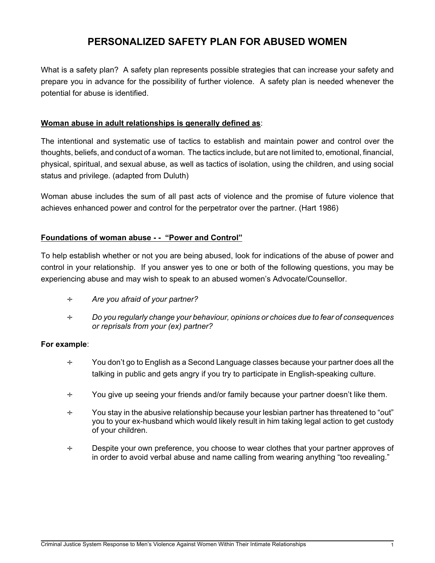## **PERSONALIZED SAFETY PLAN FOR ABUSED WOMEN**

What is a safety plan? A safety plan represents possible strategies that can increase your safety and prepare you in advance for the possibility of further violence. A safety plan is needed whenever the potential for abuse is identified.

## **Woman abuse in adult relationships is generally defined as**:

The intentional and systematic use of tactics to establish and maintain power and control over the thoughts, beliefs, and conduct of a woman. The tactics include, but are not limited to, emotional, financial, physical, spiritual, and sexual abuse, as well as tactics of isolation, using the children, and using social status and privilege. (adapted from Duluth)

Woman abuse includes the sum of all past acts of violence and the promise of future violence that achieves enhanced power and control for the perpetrator over the partner. (Hart 1986)

## **Foundations of woman abuse - - "Power and Control"**

To help establish whether or not you are being abused, look for indications of the abuse of power and control in your relationship. If you answer yes to one or both of the following questions, you may be experiencing abuse and may wish to speak to an abused women's Advocate/Counsellor.

- ÷ *Are you afraid of your partner?*
- ÷ *Do you regularly change your behaviour, opinions or choices due to fear of consequences or reprisals from your (ex) partner?*

## **For example**:

- ÷ You don't go to English as a Second Language classes because your partner does all the talking in public and gets angry if you try to participate in English-speaking culture.
- ÷ You give up seeing your friends and/or family because your partner doesn't like them.
- ÷ You stay in the abusive relationship because your lesbian partner has threatened to "out" you to your ex-husband which would likely result in him taking legal action to get custody of your children.
- ÷ Despite your own preference, you choose to wear clothes that your partner approves of in order to avoid verbal abuse and name calling from wearing anything "too revealing."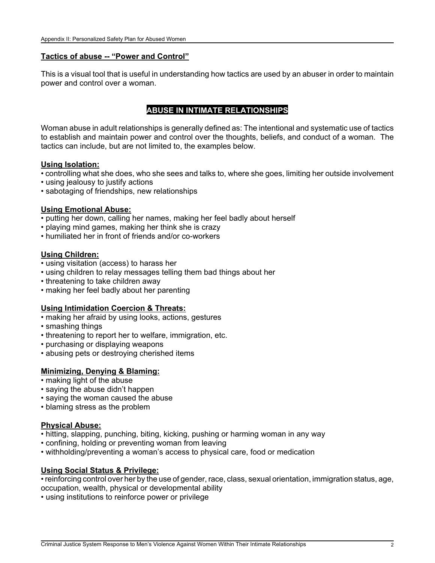## **Tactics of abuse -- "Power and Control"**

This is a visual tool that is useful in understanding how tactics are used by an abuser in order to maintain power and control over a woman.

## **ABUSE IN INTIMATE RELATIONSHIPS**

Woman abuse in adult relationships is generally defined as: The intentional and systematic use of tactics to establish and maintain power and control over the thoughts, beliefs, and conduct of a woman. The tactics can include, but are not limited to, the examples below.

#### **Using Isolation:**

- controlling what she does, who she sees and talks to, where she goes, limiting her outside involvement
- using jealousy to justify actions
- sabotaging of friendships, new relationships

## **Using Emotional Abuse:**

- putting her down, calling her names, making her feel badly about herself
- playing mind games, making her think she is crazy
- humiliated her in front of friends and/or co-workers

#### **Using Children:**

- using visitation (access) to harass her
- using children to relay messages telling them bad things about her
- threatening to take children away
- making her feel badly about her parenting

## **Using Intimidation Coercion & Threats:**

- making her afraid by using looks, actions, gestures
- smashing things
- threatening to report her to welfare, immigration, etc.
- purchasing or displaying weapons
- abusing pets or destroying cherished items

## **Minimizing, Denying & Blaming:**

- making light of the abuse
- saying the abuse didn't happen
- saying the woman caused the abuse
- blaming stress as the problem

#### **Physical Abuse:**

- hitting, slapping, punching, biting, kicking, pushing or harming woman in any way
- confining, holding or preventing woman from leaving
- withholding/preventing a woman's access to physical care, food or medication

#### **Using Social Status & Privilege:**

• reinforcing control over her by the use of gender, race, class, sexual orientation, immigration status, age, occupation, wealth, physical or developmental ability

• using institutions to reinforce power or privilege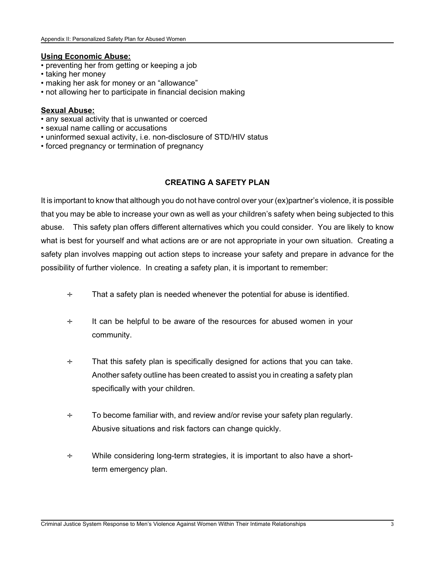#### **Using Economic Abuse:**

- preventing her from getting or keeping a job
- taking her money
- making her ask for money or an "allowance"
- not allowing her to participate in financial decision making

## **Sexual Abuse:**

- any sexual activity that is unwanted or coerced
- sexual name calling or accusations
- uninformed sexual activity, i.e. non-disclosure of STD/HIV status
- forced pregnancy or termination of pregnancy

## **CREATING A SAFETY PLAN**

It is important to know that although you do not have control over your (ex)partner's violence, it is possible that you may be able to increase your own as well as your children's safety when being subjected to this abuse. This safety plan offers different alternatives which you could consider. You are likely to know what is best for yourself and what actions are or are not appropriate in your own situation. Creating a safety plan involves mapping out action steps to increase your safety and prepare in advance for the possibility of further violence. In creating a safety plan, it is important to remember:

- $\div$  That a safety plan is needed whenever the potential for abuse is identified.
- ÷ It can be helpful to be aware of the resources for abused women in your community.
- ÷ That this safety plan is specifically designed for actions that you can take. Another safety outline has been created to assist you in creating a safety plan specifically with your children.
- $\div$  To become familiar with, and review and/or revise your safety plan regularly. Abusive situations and risk factors can change quickly.
- ÷ While considering long-term strategies, it is important to also have a shortterm emergency plan.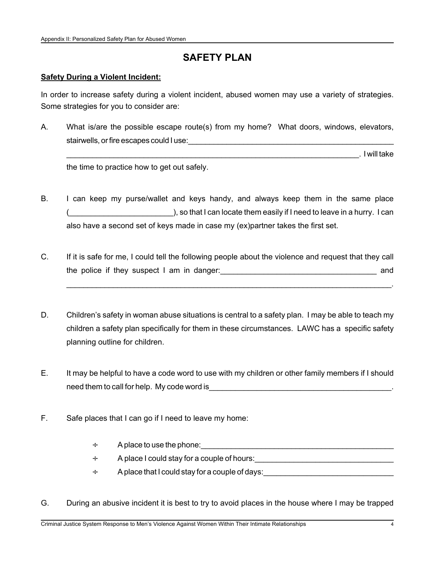# **SAFETY PLAN**

#### **Safety During a Violent Incident:**

In order to increase safety during a violent incident, abused women may use a variety of strategies. Some strategies for you to consider are:

A. What is/are the possible escape route(s) from my home? What doors, windows, elevators, stairwells, or fire escapes could I use:

\_\_\_\_\_\_\_\_\_\_\_\_\_\_\_\_\_\_\_\_\_\_\_\_\_\_\_\_\_\_\_\_\_\_\_\_\_\_\_\_\_\_\_\_\_\_\_\_\_\_\_\_\_\_\_\_\_\_\_\_\_\_\_\_\_\_\_\_. I will take

the time to practice how to get out safely.

- B. I can keep my purse/wallet and keys handy, and always keep them in the same place ), so that I can locate them easily if I need to leave in a hurry. I can also have a second set of keys made in case my (ex)partner takes the first set.
- C. If it is safe for me, I could tell the following people about the violence and request that they call the police if they suspect I am in danger:\_\_\_\_\_\_\_\_\_\_\_\_\_\_\_\_\_\_\_\_\_\_\_\_\_\_\_\_\_\_\_\_\_\_\_\_ and

\_\_\_\_\_\_\_\_\_\_\_\_\_\_\_\_\_\_\_\_\_\_\_\_\_\_\_\_\_\_\_\_\_\_\_\_\_\_\_\_\_\_\_\_\_\_\_\_\_\_\_\_\_\_\_\_\_\_\_\_\_\_\_\_\_\_\_\_\_\_\_\_\_\_\_\_\_.

- D. Children's safety in woman abuse situations is central to a safety plan. I may be able to teach my children a safety plan specifically for them in these circumstances. LAWC has a specific safety planning outline for children.
- E. It may be helpful to have a code word to use with my children or other family members if I should need them to call for help. My code word is
- F. Safe places that I can go if I need to leave my home:
	- $\div$  A place to use the phone:  $\angle$
	- $\div$  A place I could stay for a couple of hours:
	- $\div$  A place that I could stay for a couple of days:
- G. During an abusive incident it is best to try to avoid places in the house where I may be trapped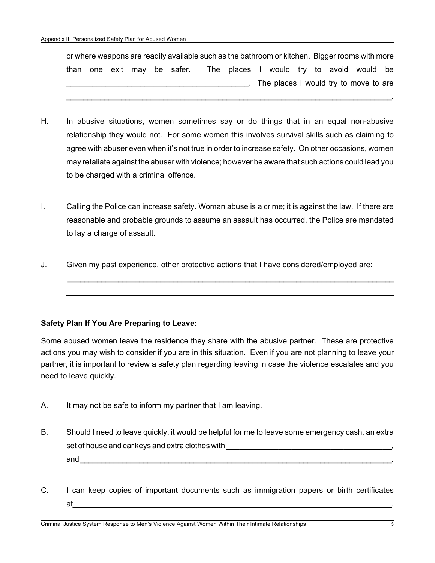or where weapons are readily available such as the bathroom or kitchen. Bigger rooms with more than one exit may be safer. The places I would try to avoid would be The places I would try to move to are

\_\_\_\_\_\_\_\_\_\_\_\_\_\_\_\_\_\_\_\_\_\_\_\_\_\_\_\_\_\_\_\_\_\_\_\_\_\_\_\_\_\_\_\_\_\_\_\_\_\_\_\_\_\_\_\_\_\_\_\_\_\_\_\_\_\_\_\_\_\_\_\_\_\_\_\_\_.

- H. In abusive situations, women sometimes say or do things that in an equal non-abusive relationship they would not. For some women this involves survival skills such as claiming to agree with abuser even when it's not true in order to increase safety. On other occasions, women may retaliate against the abuser with violence; however be aware that such actions could lead you to be charged with a criminal offence.
- I. Calling the Police can increase safety. Woman abuse is a crime; it is against the law. If there are reasonable and probable grounds to assume an assault has occurred, the Police are mandated to lay a charge of assault.

 \_\_\_\_\_\_\_\_\_\_\_\_\_\_\_\_\_\_\_\_\_\_\_\_\_\_\_\_\_\_\_\_\_\_\_\_\_\_\_\_\_\_\_\_\_\_\_\_\_\_\_\_\_\_\_\_\_\_\_\_\_\_\_\_\_\_\_\_\_\_\_\_\_\_\_\_\_ \_\_\_\_\_\_\_\_\_\_\_\_\_\_\_\_\_\_\_\_\_\_\_\_\_\_\_\_\_\_\_\_\_\_\_\_\_\_\_\_\_\_\_\_\_\_\_\_\_\_\_\_\_\_\_\_\_\_\_\_\_\_\_\_\_\_\_\_\_\_\_\_\_\_\_\_\_\_

J. Given my past experience, other protective actions that I have considered/employed are:

## **Safety Plan If You Are Preparing to Leave:**

Some abused women leave the residence they share with the abusive partner. These are protective actions you may wish to consider if you are in this situation. Even if you are not planning to leave your partner, it is important to review a safety plan regarding leaving in case the violence escalates and you need to leave quickly.

- A. It may not be safe to inform my partner that I am leaving.
- B. Should I need to leave quickly, it would be helpful for me to leave some emergency cash, an extra set of house and car keys and extra clothes with **with**  $\frac{1}{2}$ and \_\_\_\_\_\_\_\_\_\_\_\_\_\_\_\_\_\_\_\_\_\_\_\_\_\_\_\_\_\_\_\_\_\_\_\_\_\_\_\_\_\_\_\_\_\_\_\_\_\_\_\_\_\_\_\_\_\_\_\_\_\_\_\_\_\_\_\_\_\_\_\_\_\_.
- C. I can keep copies of important documents such as immigration papers or birth certificates at\_\_\_\_\_\_\_\_\_\_\_\_\_\_\_\_\_\_\_\_\_\_\_\_\_\_\_\_\_\_\_\_\_\_\_\_\_\_\_\_\_\_\_\_\_\_\_\_\_\_\_\_\_\_\_\_\_\_\_\_\_\_\_\_\_\_\_\_\_\_\_\_\_\_\_\_.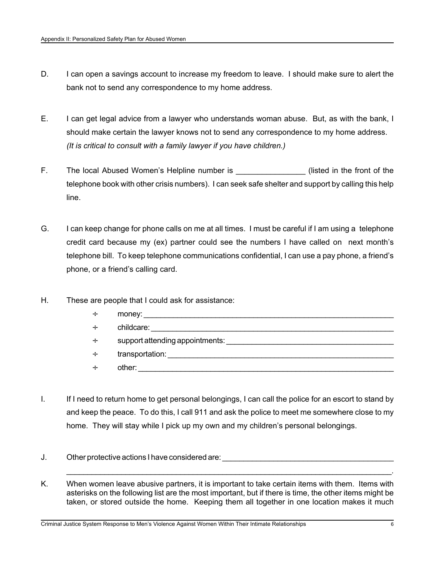- D. I can open a savings account to increase my freedom to leave. I should make sure to alert the bank not to send any correspondence to my home address.
- E. I can get legal advice from a lawyer who understands woman abuse. But, as with the bank, I should make certain the lawyer knows not to send any correspondence to my home address. *(It is critical to consult with a family lawyer if you have children.)*
- F. The local Abused Women's Helpline number is **Example 1** (listed in the front of the telephone book with other crisis numbers). I can seek safe shelter and support by calling this help line.
- G. I can keep change for phone calls on me at all times. I must be careful if I am using a telephone credit card because my (ex) partner could see the numbers I have called on next month's telephone bill. To keep telephone communications confidential, I can use a pay phone, a friend's phone, or a friend's calling card.
- H. These are people that I could ask for assistance:
	- ÷ money: \_\_\_\_\_\_\_\_\_\_\_\_\_\_\_\_\_\_\_\_\_\_\_\_\_\_\_\_\_\_\_\_\_\_\_\_\_\_\_\_\_\_\_\_\_\_\_\_\_\_\_\_\_\_\_\_\_\_\_  $\div$  childcare:  $\div$  support attending appointments: ÷ transportation: \_\_\_\_\_\_\_\_\_\_\_\_\_\_\_\_\_\_\_\_\_\_\_\_\_\_\_\_\_\_\_\_\_\_\_\_\_\_\_\_\_\_\_\_\_\_\_\_\_\_\_\_\_
	- $\div$  other:
- I. If I need to return home to get personal belongings, I can call the police for an escort to stand by and keep the peace. To do this, I call 911 and ask the police to meet me somewhere close to my home. They will stay while I pick up my own and my children's personal belongings.
- J. Other protective actions I have considered are: **With an article are all the protective actions**
- K. When women leave abusive partners, it is important to take certain items with them. Items with asterisks on the following list are the most important, but if there is time, the other items might be taken, or stored outside the home. Keeping them all together in one location makes it much

\_\_\_\_\_\_\_\_\_\_\_\_\_\_\_\_\_\_\_\_\_\_\_\_\_\_\_\_\_\_\_\_\_\_\_\_\_\_\_\_\_\_\_\_\_\_\_\_\_\_\_\_\_\_\_\_\_\_\_\_\_\_\_\_\_\_\_\_\_\_\_\_\_\_\_\_\_.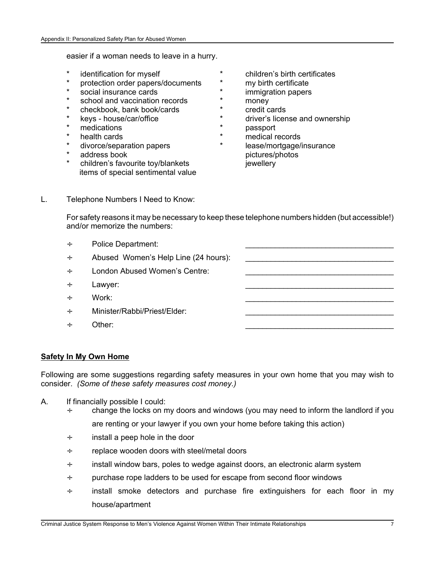easier if a woman needs to leave in a hurry.

- 
- \* protection order papers/documents \* my birth certificate
- 
- \* school and vaccination records \* money
- \* checkbook, bank book/cards \* credit cards
- 
- 
- 
- 
- 
- children's favourite toy/blankets in the sewellery items of special sentimental value
- \* identification for myself \* children's birth certificates
	-
	- social insurance cards \* \* immigration papers
		-
		-
- \* keys house/car/office \* \* driver's license and ownership
	- medications  $*$  passport
- \* health cards  $\ddot{}$  medical records
	- \* divorce/separation papers \* lease/mortgage/insurance address book pictures/photos
- L. Telephone Numbers I Need to Know:

For safety reasons it may be necessary to keep these telephone numbers hidden (but accessible!) and/or memorize the numbers:

- $\div$  Police Department:
- $\div$  Abused Women's Help Line (24 hours):
- $\div$  London Abused Women's Centre:
- $\div$  Lawyer:
- ÷ Work: \_\_\_\_\_\_\_\_\_\_\_\_\_\_\_\_\_\_\_\_\_\_\_\_\_\_\_\_\_\_\_\_\_\_\_
- $\div$  Minister/Rabbi/Priest/Elder:
- ÷ Other: \_\_\_\_\_\_\_\_\_\_\_\_\_\_\_\_\_\_\_\_\_\_\_\_\_\_\_\_\_\_\_\_\_\_\_

## **Safety In My Own Home**

Following are some suggestions regarding safety measures in your own home that you may wish to consider. *(Some of these safety measures cost money.)*

- A. If financially possible I could:
	- ÷ change the locks on my doors and windows (you may need to inform the landlord if you are renting or your lawyer if you own your home before taking this action)
	- $\div$  install a peep hole in the door
	- ÷ replace wooden doors with steel/metal doors
	- ÷ install window bars, poles to wedge against doors, an electronic alarm system
	- ÷ purchase rope ladders to be used for escape from second floor windows
	- $\div$  install smoke detectors and purchase fire extinguishers for each floor in my house/apartment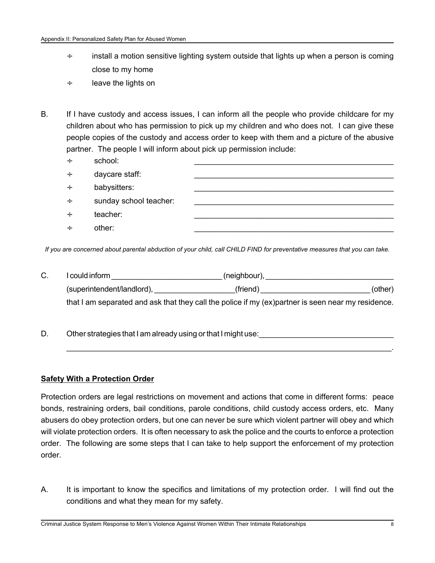- $\div$  install a motion sensitive lighting system outside that lights up when a person is coming close to my home
- ÷ leave the lights on
- B. If I have custody and access issues, I can inform all the people who provide childcare for my children about who has permission to pick up my children and who does not. I can give these people copies of the custody and access order to keep with them and a picture of the abusive partner. The people I will inform about pick up permission include:
	- ÷ school: \_\_\_\_\_\_\_\_\_\_\_\_\_\_\_\_\_\_\_\_\_\_\_\_\_\_\_\_\_\_\_\_\_\_\_\_\_\_\_\_\_\_\_\_\_\_\_
	- $\div$  daycare staff:  $\div$  babysitters:  $\div$  sunday school teacher: ÷ teacher: \_\_\_\_\_\_\_\_\_\_\_\_\_\_\_\_\_\_\_\_\_\_\_\_\_\_\_\_\_\_\_\_\_\_\_\_\_\_\_\_\_\_\_\_\_\_\_  $\div$  other:  $\qquad \qquad \overline{\phantom{a}}$

*If you are concerned about parental abduction of your child, call CHILD FIND for preventative measures that you can take.*

C. I could inform \_\_\_\_\_\_\_\_\_\_\_\_\_\_\_\_\_\_\_\_\_\_\_\_\_\_\_\_\_(neighbour), \_\_\_\_\_\_\_\_\_\_\_\_\_\_\_\_\_\_\_\_ (superintendent/landlord), \_\_\_\_\_\_\_\_\_\_\_\_\_\_\_\_\_\_\_(friend) \_\_\_\_\_\_\_\_\_\_\_\_\_\_\_\_\_\_\_\_\_\_\_\_\_\_ (other) that I am separated and ask that they call the police if my (ex)partner is seen near my residence.

\_\_\_\_\_\_\_\_\_\_\_\_\_\_\_\_\_\_\_\_\_\_\_\_\_\_\_\_\_\_\_\_\_\_\_\_\_\_\_\_\_\_\_\_\_\_\_\_\_\_\_\_\_\_\_\_\_\_\_\_\_\_\_\_\_\_\_\_\_\_\_\_\_\_\_\_\_.

D. Other strategies that I am already using or that I might use:

## **Safety With a Protection Order**

Protection orders are legal restrictions on movement and actions that come in different forms: peace bonds, restraining orders, bail conditions, parole conditions, child custody access orders, etc. Many abusers do obey protection orders, but one can never be sure which violent partner will obey and which will violate protection orders. It is often necessary to ask the police and the courts to enforce a protection order. The following are some steps that I can take to help support the enforcement of my protection order.

A. It is important to know the specifics and limitations of my protection order. I will find out the conditions and what they mean for my safety.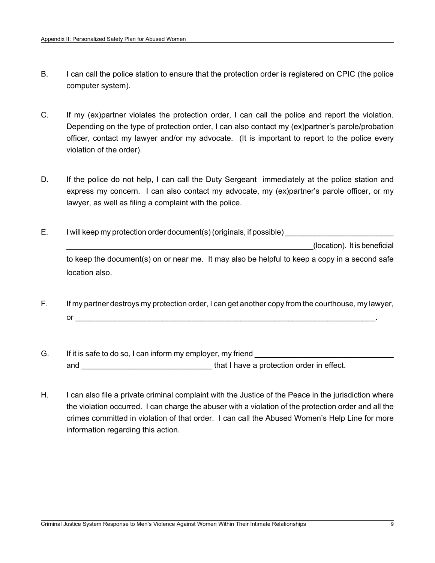- B. I can call the police station to ensure that the protection order is registered on CPIC (the police computer system).
- C. If my (ex)partner violates the protection order, I can call the police and report the violation. Depending on the type of protection order, I can also contact my (ex)partner's parole/probation officer, contact my lawyer and/or my advocate. (It is important to report to the police every violation of the order).
- D. If the police do not help, I can call the Duty Sergeant immediately at the police station and express my concern. I can also contact my advocate, my (ex)partner's parole officer, or my lawyer, as well as filing a complaint with the police.
- $E.$  I will keep my protection order document(s) (originals, if possible) \_\_\_\_\_\_\_\_\_\_\_\_\_\_\_\_\_\_\_\_\_\_\_\_\_\_\_\_\_\_\_\_\_\_\_\_\_\_\_\_\_\_\_\_\_\_\_\_\_\_\_\_\_\_\_\_\_\_(location). It is beneficial to keep the document(s) on or near me. It may also be helpful to keep a copy in a second safe location also.
- F. If my partner destroys my protection order, I can get another copy from the courthouse, my lawyer,  $or$
- G. If it is safe to do so, I can inform my employer, my friend and \_\_\_\_\_\_\_\_\_\_\_\_\_\_\_\_\_\_\_\_\_\_\_\_\_\_\_\_\_\_ that I have a protection order in effect.
- H. I can also file a private criminal complaint with the Justice of the Peace in the jurisdiction where the violation occurred. I can charge the abuser with a violation of the protection order and all the crimes committed in violation of that order. I can call the Abused Women's Help Line for more information regarding this action.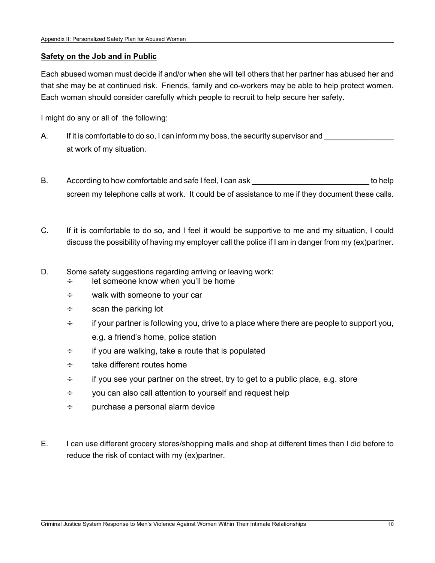## **Safety on the Job and in Public**

Each abused woman must decide if and/or when she will tell others that her partner has abused her and that she may be at continued risk. Friends, family and co-workers may be able to help protect women. Each woman should consider carefully which people to recruit to help secure her safety.

I might do any or all of the following:

- A. If it is comfortable to do so, I can inform my boss, the security supervisor and at work of my situation.
- B. According to how comfortable and safe I feel, I can ask  $\qquad \qquad$  to help screen my telephone calls at work. It could be of assistance to me if they document these calls.
- C. If it is comfortable to do so, and I feel it would be supportive to me and my situation, I could discuss the possibility of having my employer call the police if I am in danger from my (ex)partner.
- D. Some safety suggestions regarding arriving or leaving work:
	- $\div$  let someone know when you'll be home
	- ÷ walk with someone to your car
	- $\div$  scan the parking lot
	- $\div$  if your partner is following you, drive to a place where there are people to support you, e.g. a friend's home, police station
	- $\div$  if you are walking, take a route that is populated
	- ÷ take different routes home
	- $\div$  if you see your partner on the street, try to get to a public place, e.g. store
	- ÷ you can also call attention to yourself and request help
	- ÷ purchase a personal alarm device
- E. I can use different grocery stores/shopping malls and shop at different times than I did before to reduce the risk of contact with my (ex)partner.